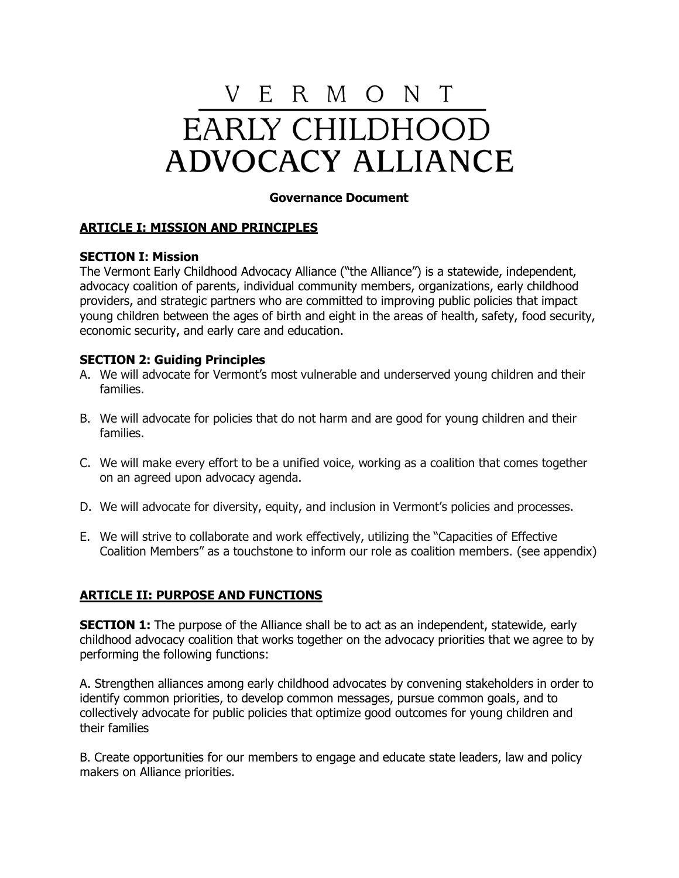# V E R M O N T EARLY CHILDHOOD **ADVOCACY ALLIANCE**

## **Governance Document**

## **ARTICLE I: MISSION AND PRINCIPLES**

## **SECTION I: Mission**

The Vermont Early Childhood Advocacy Alliance ("the Alliance") is a statewide, independent, advocacy coalition of parents, individual community members, organizations, early childhood providers, and strategic partners who are committed to improving public policies that impact young children between the ages of birth and eight in the areas of health, safety, food security, economic security, and early care and education.

## **SECTION 2: Guiding Principles**

- A. We will advocate for Vermont's most vulnerable and underserved young children and their families.
- B. We will advocate for policies that do not harm and are good for young children and their families.
- C. We will make every effort to be a unified voice, working as a coalition that comes together on an agreed upon advocacy agenda.
- D. We will advocate for diversity, equity, and inclusion in Vermont's policies and processes.
- E. We will strive to collaborate and work effectively, utilizing the "Capacities of Effective Coalition Members" as a touchstone to inform our role as coalition members. (see appendix)

## **ARTICLE II: PURPOSE AND FUNCTIONS**

**SECTION 1:** The purpose of the Alliance shall be to act as an independent, statewide, early childhood advocacy coalition that works together on the advocacy priorities that we agree to by performing the following functions:

A. Strengthen alliances among early childhood advocates by convening stakeholders in order to identify common priorities, to develop common messages, pursue common goals, and to collectively advocate for public policies that optimize good outcomes for young children and their families

B. Create opportunities for our members to engage and educate state leaders, law and policy makers on Alliance priorities.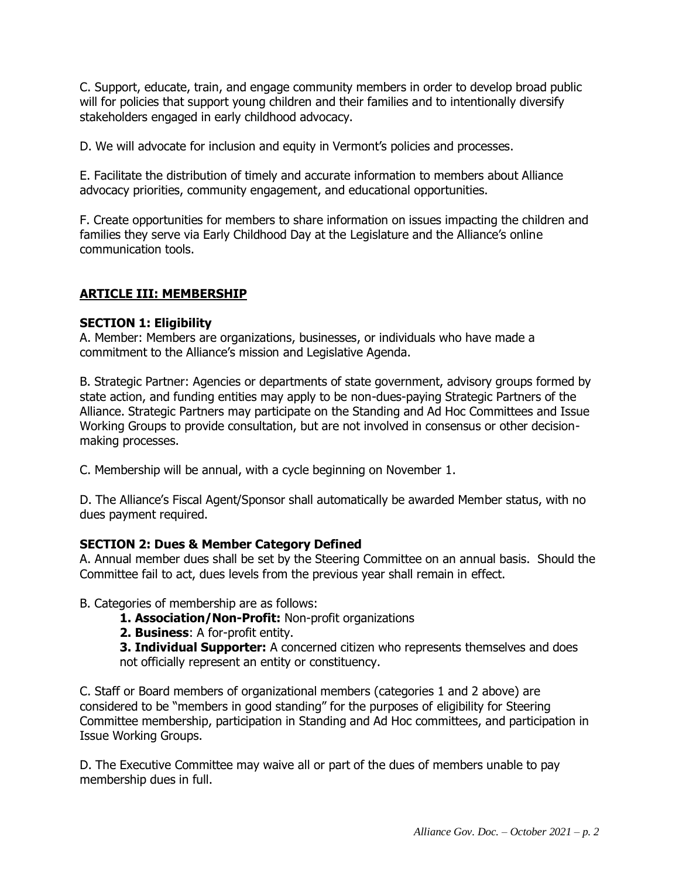C. Support, educate, train, and engage community members in order to develop broad public will for policies that support young children and their families and to intentionally diversify stakeholders engaged in early childhood advocacy.

D. We will advocate for inclusion and equity in Vermont's policies and processes.

E. Facilitate the distribution of timely and accurate information to members about Alliance advocacy priorities, community engagement, and educational opportunities.

F. Create opportunities for members to share information on issues impacting the children and families they serve via Early Childhood Day at the Legislature and the Alliance's online communication tools.

## **ARTICLE III: MEMBERSHIP**

## **SECTION 1: Eligibility**

A. Member: Members are organizations, businesses, or individuals who have made a commitment to the Alliance's mission and Legislative Agenda.

B. Strategic Partner: Agencies or departments of state government, advisory groups formed by state action, and funding entities may apply to be non-dues-paying Strategic Partners of the Alliance. Strategic Partners may participate on the Standing and Ad Hoc Committees and Issue Working Groups to provide consultation, but are not involved in consensus or other decisionmaking processes.

C. Membership will be annual, with a cycle beginning on November 1.

D. The Alliance's Fiscal Agent/Sponsor shall automatically be awarded Member status, with no dues payment required.

#### **SECTION 2: Dues & Member Category Defined**

A. Annual member dues shall be set by the Steering Committee on an annual basis. Should the Committee fail to act, dues levels from the previous year shall remain in effect.

B. Categories of membership are as follows:

- **1. Association/Non-Profit:** Non-profit organizations
- **2. Business**: A for-profit entity.

**3. Individual Supporter:** A concerned citizen who represents themselves and does not officially represent an entity or constituency.

C. Staff or Board members of organizational members (categories 1 and 2 above) are considered to be "members in good standing" for the purposes of eligibility for Steering Committee membership, participation in Standing and Ad Hoc committees, and participation in Issue Working Groups.

D. The Executive Committee may waive all or part of the dues of members unable to pay membership dues in full.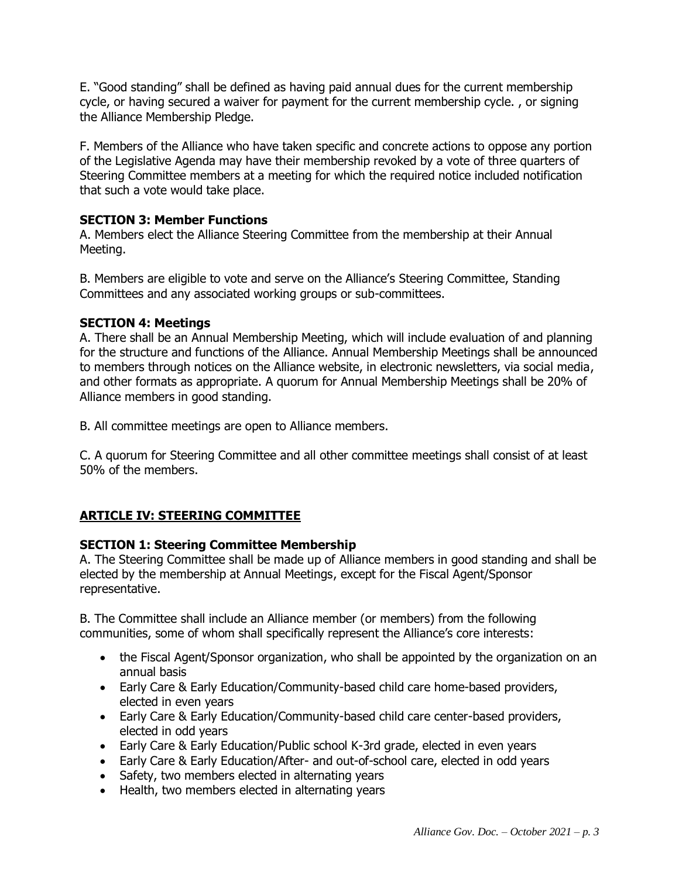E. "Good standing" shall be defined as having paid annual dues for the current membership cycle, or having secured a waiver for payment for the current membership cycle. , or signing the Alliance Membership Pledge.

F. Members of the Alliance who have taken specific and concrete actions to oppose any portion of the Legislative Agenda may have their membership revoked by a vote of three quarters of Steering Committee members at a meeting for which the required notice included notification that such a vote would take place.

## **SECTION 3: Member Functions**

A. Members elect the Alliance Steering Committee from the membership at their Annual Meeting.

B. Members are eligible to vote and serve on the Alliance's Steering Committee, Standing Committees and any associated working groups or sub-committees.

## **SECTION 4: Meetings**

A. There shall be an Annual Membership Meeting, which will include evaluation of and planning for the structure and functions of the Alliance. Annual Membership Meetings shall be announced to members through notices on the Alliance website, in electronic newsletters, via social media, and other formats as appropriate. A quorum for Annual Membership Meetings shall be 20% of Alliance members in good standing.

B. All committee meetings are open to Alliance members.

C. A quorum for Steering Committee and all other committee meetings shall consist of at least 50% of the members.

## **ARTICLE IV: STEERING COMMITTEE**

## **SECTION 1: Steering Committee Membership**

A. The Steering Committee shall be made up of Alliance members in good standing and shall be elected by the membership at Annual Meetings, except for the Fiscal Agent/Sponsor representative.

B. The Committee shall include an Alliance member (or members) from the following communities, some of whom shall specifically represent the Alliance's core interests:

- the Fiscal Agent/Sponsor organization, who shall be appointed by the organization on an annual basis
- Early Care & Early Education/Community-based child care home-based providers, elected in even years
- Early Care & Early Education/Community-based child care center-based providers, elected in odd years
- Early Care & Early Education/Public school K-3rd grade, elected in even years
- Early Care & Early Education/After- and out-of-school care, elected in odd years
- Safety, two members elected in alternating years
- Health, two members elected in alternating years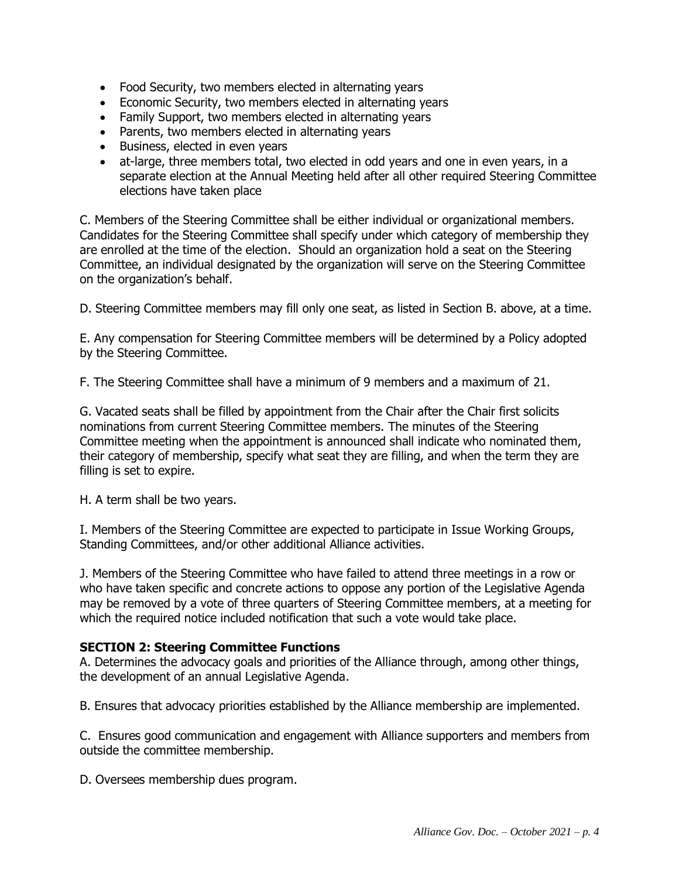- Food Security, two members elected in alternating years
- Economic Security, two members elected in alternating years
- Family Support, two members elected in alternating years
- Parents, two members elected in alternating years
- Business, elected in even years
- at-large, three members total, two elected in odd years and one in even years, in a separate election at the Annual Meeting held after all other required Steering Committee elections have taken place

C. Members of the Steering Committee shall be either individual or organizational members. Candidates for the Steering Committee shall specify under which category of membership they are enrolled at the time of the election. Should an organization hold a seat on the Steering Committee, an individual designated by the organization will serve on the Steering Committee on the organization's behalf.

D. Steering Committee members may fill only one seat, as listed in Section B. above, at a time.

E. Any compensation for Steering Committee members will be determined by a Policy adopted by the Steering Committee.

F. The Steering Committee shall have a minimum of 9 members and a maximum of 21.

G. Vacated seats shall be filled by appointment from the Chair after the Chair first solicits nominations from current Steering Committee members. The minutes of the Steering Committee meeting when the appointment is announced shall indicate who nominated them, their category of membership, specify what seat they are filling, and when the term they are filling is set to expire.

H. A term shall be two years.

I. Members of the Steering Committee are expected to participate in Issue Working Groups, Standing Committees, and/or other additional Alliance activities.

J. Members of the Steering Committee who have failed to attend three meetings in a row or who have taken specific and concrete actions to oppose any portion of the Legislative Agenda may be removed by a vote of three quarters of Steering Committee members, at a meeting for which the required notice included notification that such a vote would take place.

#### **SECTION 2: Steering Committee Functions**

A. Determines the advocacy goals and priorities of the Alliance through, among other things, the development of an annual Legislative Agenda.

B. Ensures that advocacy priorities established by the Alliance membership are implemented.

C. Ensures good communication and engagement with Alliance supporters and members from outside the committee membership.

D. Oversees membership dues program.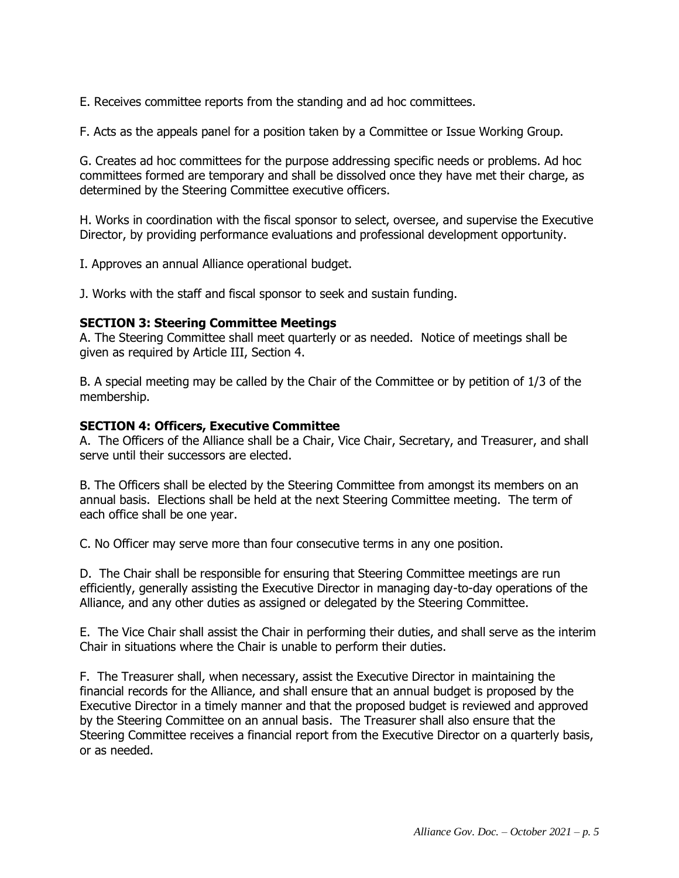E. Receives committee reports from the standing and ad hoc committees.

F. Acts as the appeals panel for a position taken by a Committee or Issue Working Group.

G. Creates ad hoc committees for the purpose addressing specific needs or problems. Ad hoc committees formed are temporary and shall be dissolved once they have met their charge, as determined by the Steering Committee executive officers.

H. Works in coordination with the fiscal sponsor to select, oversee, and supervise the Executive Director, by providing performance evaluations and professional development opportunity.

I. Approves an annual Alliance operational budget.

J. Works with the staff and fiscal sponsor to seek and sustain funding.

## **SECTION 3: Steering Committee Meetings**

A. The Steering Committee shall meet quarterly or as needed. Notice of meetings shall be given as required by Article III, Section 4.

B. A special meeting may be called by the Chair of the Committee or by petition of 1/3 of the membership.

## **SECTION 4: Officers, Executive Committee**

A. The Officers of the Alliance shall be a Chair, Vice Chair, Secretary, and Treasurer, and shall serve until their successors are elected.

B. The Officers shall be elected by the Steering Committee from amongst its members on an annual basis. Elections shall be held at the next Steering Committee meeting. The term of each office shall be one year.

C. No Officer may serve more than four consecutive terms in any one position.

D. The Chair shall be responsible for ensuring that Steering Committee meetings are run efficiently, generally assisting the Executive Director in managing day-to-day operations of the Alliance, and any other duties as assigned or delegated by the Steering Committee.

E. The Vice Chair shall assist the Chair in performing their duties, and shall serve as the interim Chair in situations where the Chair is unable to perform their duties.

F. The Treasurer shall, when necessary, assist the Executive Director in maintaining the financial records for the Alliance, and shall ensure that an annual budget is proposed by the Executive Director in a timely manner and that the proposed budget is reviewed and approved by the Steering Committee on an annual basis. The Treasurer shall also ensure that the Steering Committee receives a financial report from the Executive Director on a quarterly basis, or as needed.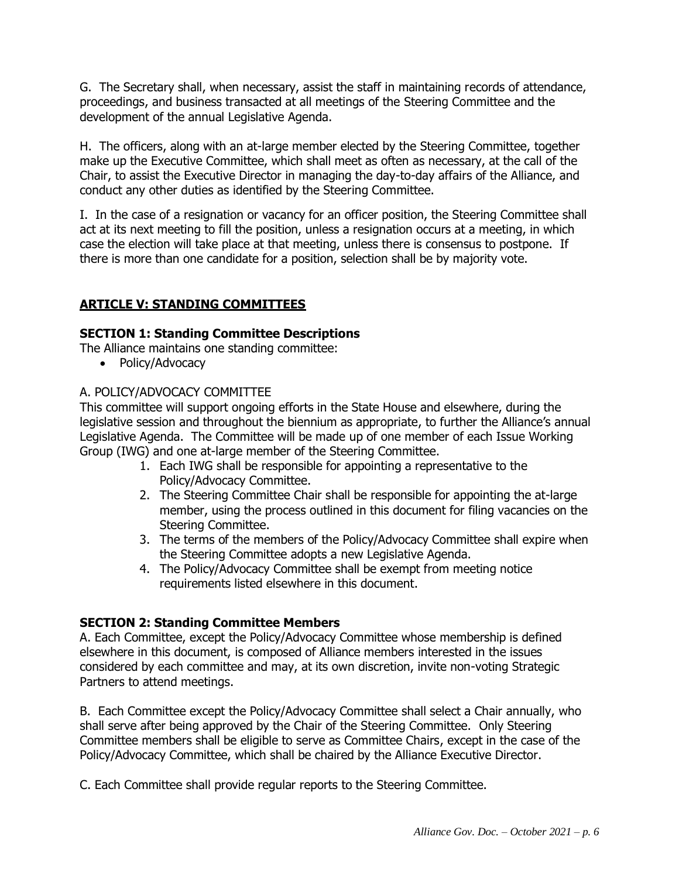G. The Secretary shall, when necessary, assist the staff in maintaining records of attendance, proceedings, and business transacted at all meetings of the Steering Committee and the development of the annual Legislative Agenda.

H. The officers, along with an at-large member elected by the Steering Committee, together make up the Executive Committee, which shall meet as often as necessary, at the call of the Chair, to assist the Executive Director in managing the day-to-day affairs of the Alliance, and conduct any other duties as identified by the Steering Committee.

I. In the case of a resignation or vacancy for an officer position, the Steering Committee shall act at its next meeting to fill the position, unless a resignation occurs at a meeting, in which case the election will take place at that meeting, unless there is consensus to postpone. If there is more than one candidate for a position, selection shall be by majority vote.

## **ARTICLE V: STANDING COMMITTEES**

## **SECTION 1: Standing Committee Descriptions**

The Alliance maintains one standing committee:

• Policy/Advocacy

## A. POLICY/ADVOCACY COMMITTEE

This committee will support ongoing efforts in the State House and elsewhere, during the legislative session and throughout the biennium as appropriate, to further the Alliance's annual Legislative Agenda. The Committee will be made up of one member of each Issue Working Group (IWG) and one at-large member of the Steering Committee.

- 1. Each IWG shall be responsible for appointing a representative to the Policy/Advocacy Committee.
- 2. The Steering Committee Chair shall be responsible for appointing the at-large member, using the process outlined in this document for filing vacancies on the Steering Committee.
- 3. The terms of the members of the Policy/Advocacy Committee shall expire when the Steering Committee adopts a new Legislative Agenda.
- 4. The Policy/Advocacy Committee shall be exempt from meeting notice requirements listed elsewhere in this document.

## **SECTION 2: Standing Committee Members**

A. Each Committee, except the Policy/Advocacy Committee whose membership is defined elsewhere in this document, is composed of Alliance members interested in the issues considered by each committee and may, at its own discretion, invite non-voting Strategic Partners to attend meetings.

B. Each Committee except the Policy/Advocacy Committee shall select a Chair annually, who shall serve after being approved by the Chair of the Steering Committee. Only Steering Committee members shall be eligible to serve as Committee Chairs, except in the case of the Policy/Advocacy Committee, which shall be chaired by the Alliance Executive Director.

C. Each Committee shall provide regular reports to the Steering Committee.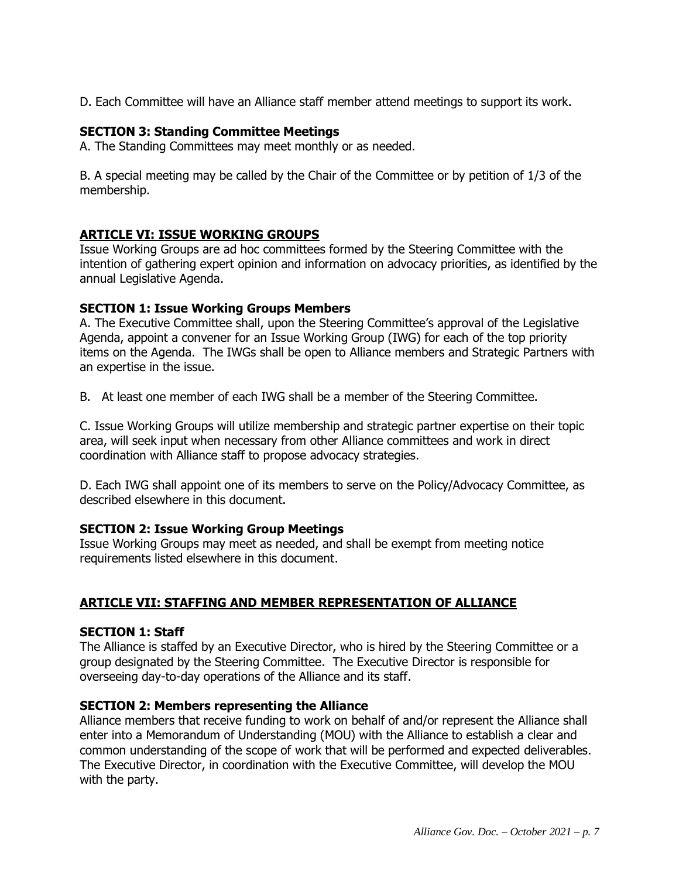D. Each Committee will have an Alliance staff member attend meetings to support its work.

#### **SECTION 3: Standing Committee Meetings**

A. The Standing Committees may meet monthly or as needed.

B. A special meeting may be called by the Chair of the Committee or by petition of 1/3 of the membership.

## **ARTICLE VI: ISSUE WORKING GROUPS**

Issue Working Groups are ad hoc committees formed by the Steering Committee with the intention of gathering expert opinion and information on advocacy priorities, as identified by the annual Legislative Agenda.

## **SECTION 1: Issue Working Groups Members**

A. The Executive Committee shall, upon the Steering Committee's approval of the Legislative Agenda, appoint a convener for an Issue Working Group (IWG) for each of the top priority items on the Agenda. The IWGs shall be open to Alliance members and Strategic Partners with an expertise in the issue.

B. At least one member of each IWG shall be a member of the Steering Committee.

C. Issue Working Groups will utilize membership and strategic partner expertise on their topic area, will seek input when necessary from other Alliance committees and work in direct coordination with Alliance staff to propose advocacy strategies.

D. Each IWG shall appoint one of its members to serve on the Policy/Advocacy Committee, as described elsewhere in this document.

#### **SECTION 2: Issue Working Group Meetings**

Issue Working Groups may meet as needed, and shall be exempt from meeting notice requirements listed elsewhere in this document.

## **ARTICLE VII: STAFFING AND MEMBER REPRESENTATION OF ALLIANCE**

#### **SECTION 1: Staff**

The Alliance is staffed by an Executive Director, who is hired by the Steering Committee or a group designated by the Steering Committee. The Executive Director is responsible for overseeing day-to-day operations of the Alliance and its staff.

#### **SECTION 2: Members representing the Alliance**

Alliance members that receive funding to work on behalf of and/or represent the Alliance shall enter into a Memorandum of Understanding (MOU) with the Alliance to establish a clear and common understanding of the scope of work that will be performed and expected deliverables. The Executive Director, in coordination with the Executive Committee, will develop the MOU with the party.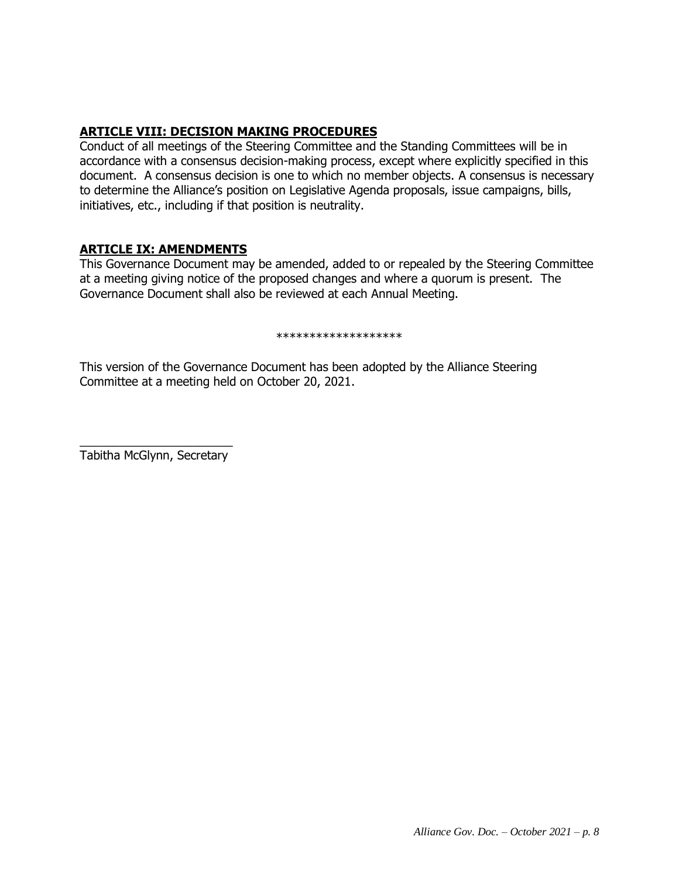## **ARTICLE VIII: DECISION MAKING PROCEDURES**

Conduct of all meetings of the Steering Committee and the Standing Committees will be in accordance with a consensus decision-making process, except where explicitly specified in this document. A consensus decision is one to which no member objects. A consensus is necessary to determine the Alliance's position on Legislative Agenda proposals, issue campaigns, bills, initiatives, etc., including if that position is neutrality.

## **ARTICLE IX: AMENDMENTS**

This Governance Document may be amended, added to or repealed by the Steering Committee at a meeting giving notice of the proposed changes and where a quorum is present. The Governance Document shall also be reviewed at each Annual Meeting.

#### \*\*\*\*\*\*\*\*\*\*\*\*\*\*\*\*\*\*\*

This version of the Governance Document has been adopted by the Alliance Steering Committee at a meeting held on October 20, 2021.

 $\frac{1}{2}$  ,  $\frac{1}{2}$  ,  $\frac{1}{2}$  ,  $\frac{1}{2}$  ,  $\frac{1}{2}$  ,  $\frac{1}{2}$  ,  $\frac{1}{2}$  ,  $\frac{1}{2}$  ,  $\frac{1}{2}$  ,  $\frac{1}{2}$  ,  $\frac{1}{2}$  ,  $\frac{1}{2}$  ,  $\frac{1}{2}$  ,  $\frac{1}{2}$  ,  $\frac{1}{2}$  ,  $\frac{1}{2}$  ,  $\frac{1}{2}$  ,  $\frac{1}{2}$  ,  $\frac{1$ Tabitha McGlynn, Secretary